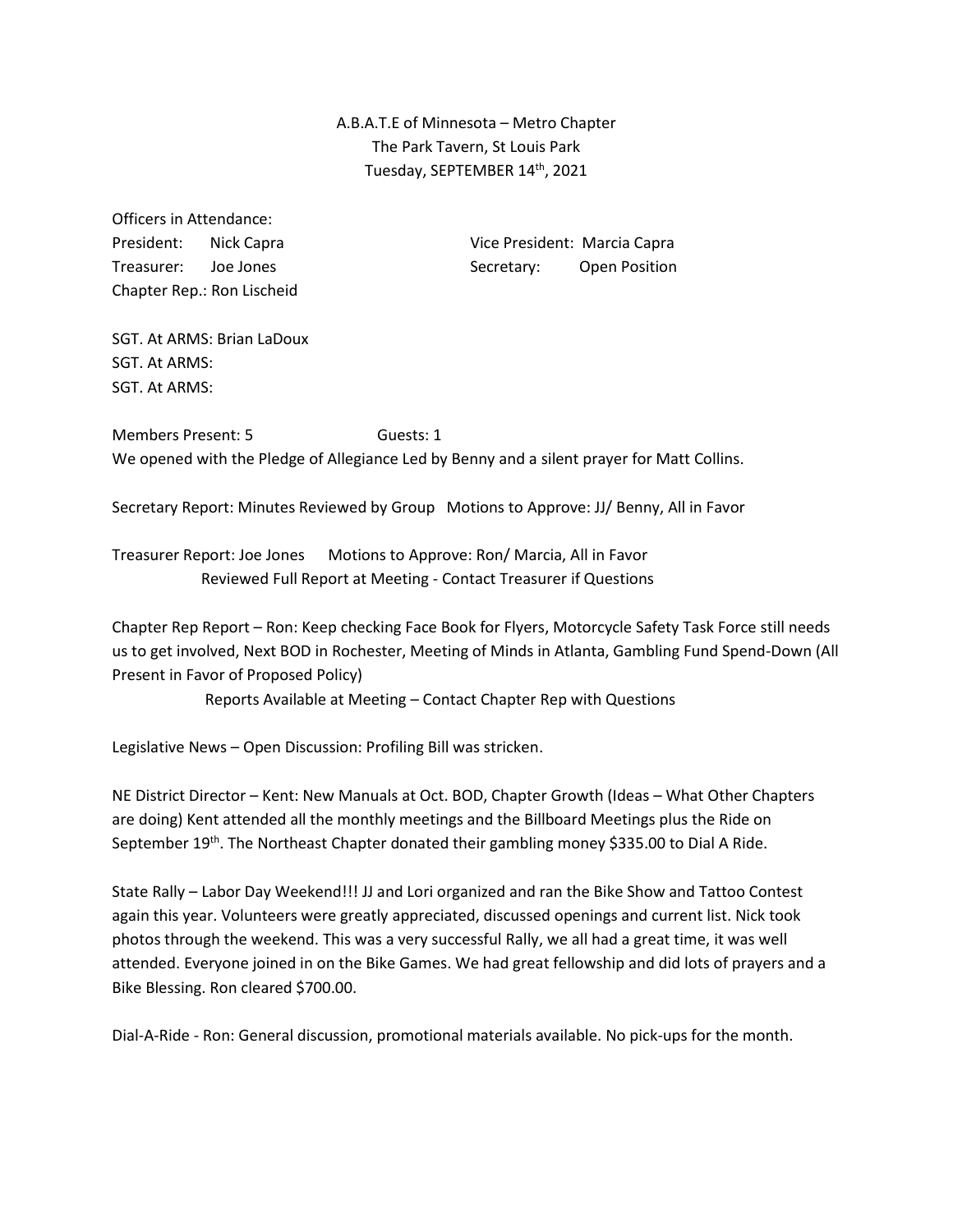A.B.A.T.E of Minnesota – Metro Chapter The Park Tavern, St Louis Park Tuesday, SEPTEMBER 14<sup>th</sup>, 2021

Officers in Attendance: Chapter Rep.: Ron Lischeid

President: Nick Capra Vice President: Marcia Capra Treasurer: Joe Jones Secretary: Open Position

SGT. At ARMS: Brian LaDoux SGT. At ARMS: SGT. At ARMS:

Members Present: 5 Guests: 1 We opened with the Pledge of Allegiance Led by Benny and a silent prayer for Matt Collins.

Secretary Report: Minutes Reviewed by Group Motions to Approve: JJ/ Benny, All in Favor

Treasurer Report: Joe Jones Motions to Approve: Ron/ Marcia, All in Favor Reviewed Full Report at Meeting - Contact Treasurer if Questions

Chapter Rep Report – Ron: Keep checking Face Book for Flyers, Motorcycle Safety Task Force still needs us to get involved, Next BOD in Rochester, Meeting of Minds in Atlanta, Gambling Fund Spend-Down (All Present in Favor of Proposed Policy)

Reports Available at Meeting – Contact Chapter Rep with Questions

Legislative News – Open Discussion: Profiling Bill was stricken.

NE District Director – Kent: New Manuals at Oct. BOD, Chapter Growth (Ideas – What Other Chapters are doing) Kent attended all the monthly meetings and the Billboard Meetings plus the Ride on September 19<sup>th</sup>. The Northeast Chapter donated their gambling money \$335.00 to Dial A Ride.

State Rally – Labor Day Weekend!!! JJ and Lori organized and ran the Bike Show and Tattoo Contest again this year. Volunteers were greatly appreciated, discussed openings and current list. Nick took photos through the weekend. This was a very successful Rally, we all had a great time, it was well attended. Everyone joined in on the Bike Games. We had great fellowship and did lots of prayers and a Bike Blessing. Ron cleared \$700.00.

Dial-A-Ride - Ron: General discussion, promotional materials available. No pick-ups for the month.